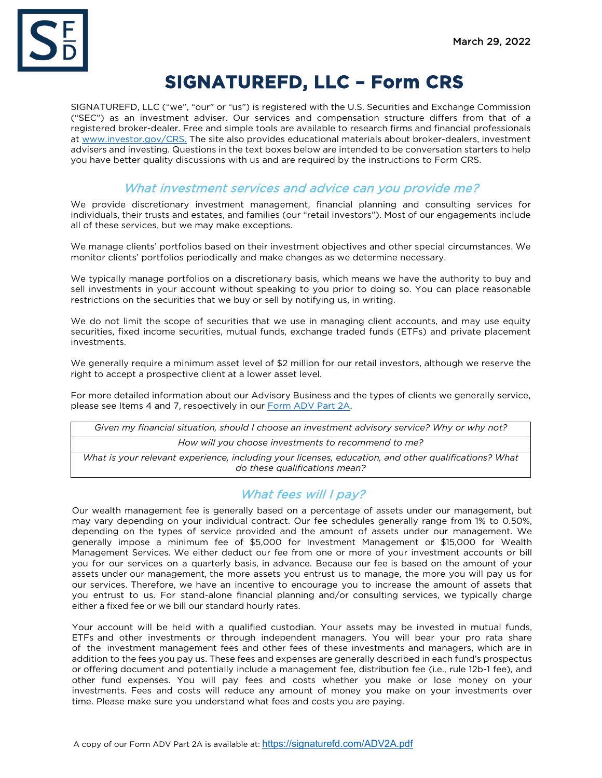

# **SIGNATUREFD, LLC – Form CRS**

SIGNATUREFD, LLC ("we", "our" or "us") is registered with the U.S. Securities and Exchange Commission ("SEC") as an investment adviser. Our services and compensation structure differs from that of a registered broker-dealer. Free and simple tools are available to research firms and financial professionals at [www.investor.gov/CRS.](http://www.investor.gov/CRS) The site also provides educational materials about broker-dealers, investment advisers and investing. Questions in the text boxes below are intended to be conversation starters to help you have better quality discussions with us and are required by the instructions to Form CRS.

#### What investment services and advice can you provide me?

We provide discretionary investment management, financial planning and consulting services for individuals, their trusts and estates, and families (our "retail investors"). Most of our engagements include all of these services, but we may make exceptions.

We manage clients' portfolios based on their investment objectives and other special circumstances. We monitor clients' portfolios periodically and make changes as we determine necessary.

We typically manage portfolios on a discretionary basis, which means we have the authority to buy and sell investments in your account without speaking to you prior to doing so. You can place reasonable restrictions on the securities that we buy or sell by notifying us, in writing.

We do not limit the scope of securities that we use in managing client accounts, and may use equity securities, fixed income securities, mutual funds, exchange traded funds (ETFs) and private placement investments.

We generally require a minimum asset level of \$2 million for our retail investors, although we reserve the right to accept a prospective client at a lower asset level.

For more detailed information about our Advisory Business and the types of clients we generally service, please see Items 4 and 7, respectively in our [Form ADV Part 2A.](https://signaturefd.com/wp-content/uploads/2022/03/SignatureFD-ADV-Part-2A-03292022.pdf)

*Given my financial situation, should I choose an investment advisory service? Why or why not? How will you choose investments to recommend to me?*

*What is your relevant experience, including your licenses, education, and other qualifications? What do these qualifications mean?*

# What fees will I pay?

Our wealth management fee is generally based on a percentage of assets under our management, but may vary depending on your individual contract. Our fee schedules generally range from 1% to 0.50%, depending on the types of service provided and the amount of assets under our management. We generally impose a minimum fee of \$5,000 for Investment Management or \$15,000 for Wealth Management Services. We either deduct our fee from one or more of your investment accounts or bill you for our services on a quarterly basis, in advance. Because our fee is based on the amount of your assets under our management, the more assets you entrust us to manage, the more you will pay us for our services. Therefore, we have an incentive to encourage you to increase the amount of assets that you entrust to us. For stand-alone financial planning and/or consulting services, we typically charge either a fixed fee or we bill our standard hourly rates.

Your account will be held with a qualified custodian. Your assets may be invested in mutual funds, ETFs and other investments or through independent managers. You will bear your pro rata share of the investment management fees and other fees of these investments and managers, which are in addition to the fees you pay us. These fees and expenses are generally described in each fund's prospectus or offering document and potentially include a management fee, distribution fee (i.e., rule 12b-1 fee), and other fund expenses. You will pay fees and costs whether you make or lose money on your investments. Fees and costs will reduce any amount of money you make on your investments over time. Please make sure you understand what fees and costs you are paying.